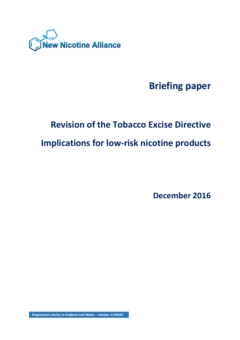

# **Briefing paper**

# **Revision of the Tobacco Excise Directive**

# **Implications for low-risk nicotine products**

**December 2016**

Registered charity in England and Wales – number 1160481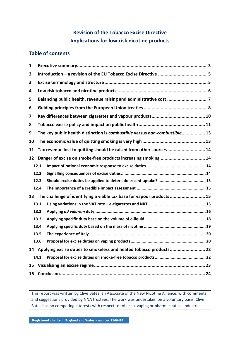# **Revision of the Tobacco Excise Directive Implications for low-risk nicotine products**

# **Table of contents**

| 1  |      |                                                                            |  |  |  |  |  |
|----|------|----------------------------------------------------------------------------|--|--|--|--|--|
| 2  |      |                                                                            |  |  |  |  |  |
| 3  |      |                                                                            |  |  |  |  |  |
| 4  |      |                                                                            |  |  |  |  |  |
| 5  |      | Balancing public health, revenue raising and administrative cost 7         |  |  |  |  |  |
| 6  |      |                                                                            |  |  |  |  |  |
| 7  |      |                                                                            |  |  |  |  |  |
| 8  |      |                                                                            |  |  |  |  |  |
| 9  |      | The key public health distinction is combustible versus non-combustible 13 |  |  |  |  |  |
| 10 |      |                                                                            |  |  |  |  |  |
| 11 |      | Tax revenue lost to quitting should be raised from other sources 14        |  |  |  |  |  |
| 12 |      | Danger of excise on smoke-free products increasing smoking  14             |  |  |  |  |  |
|    | 12.1 |                                                                            |  |  |  |  |  |
|    | 12.2 |                                                                            |  |  |  |  |  |
|    | 12.3 |                                                                            |  |  |  |  |  |
|    | 12.4 |                                                                            |  |  |  |  |  |
|    |      | 13 The challenge of identifying a viable tax base for vapour products  15  |  |  |  |  |  |
|    | 13.1 |                                                                            |  |  |  |  |  |
|    | 13.2 |                                                                            |  |  |  |  |  |
|    | 13.3 |                                                                            |  |  |  |  |  |
|    | 13.4 |                                                                            |  |  |  |  |  |
|    | 13.5 |                                                                            |  |  |  |  |  |
|    | 13.6 |                                                                            |  |  |  |  |  |
|    |      | 14 Applying excise duties to smokeless and heated tobacco products 22      |  |  |  |  |  |
|    | 14.1 |                                                                            |  |  |  |  |  |
| 15 |      |                                                                            |  |  |  |  |  |
| 16 |      |                                                                            |  |  |  |  |  |

This report was written by Clive Bates, an Associate of the New Nicotine Alliance, with comments and suggestions provided by NNA trustees. The work was undertaken on a voluntary basis. Clive Bates has no competing interests with respect to tobacco, vaping or pharmaceutical industries.

Registered charity in England and Wales – number 1160481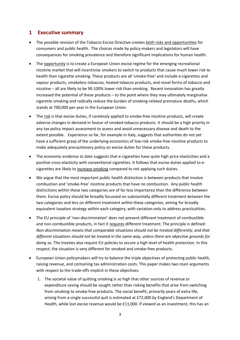# **1 Executive summary**

- The possible revision of the Tobacco Excise Directive creates both risks and opportunities for consumers and public health. The choices made by policy-makers and legislators will have consequences for smoking prevalence and therefore significant implications for human health.
- The opportunity is to create a European Union excise regime for the emerging recreational nicotine market that will incentivise smokers to switch to products that cause much lower risk to health than cigarette smoking. These products are all 'smoke-free' and include e-cigarettes and vapour products, smokeless tobaccos, heated tobacco products, and novel forms of tobacco and nicotine – all are likely to be 90-100% lower risk than smoking. Recent innovation has greatly increased the potential of these products – to the point where they may ultimately marginalise cigarette smoking and radically reduce the burden of smoking-related premature deaths, which stands at 700,000 per year in the European Union.
- The risk is that excise duties, if carelessly applied to smoke-free nicotine products, will create adverse changes in demand in favour of smoked tobacco products. It should be a high priority in any tax policy impact assessment to assess and avoid unnecessary disease and death to the extent possible. Experience so far, for example in Italy, suggests that authorities do not yet have a sufficient grasp of the underlying economics of low-risk smoke-free nicotine products to make adequately precautionary policy on excise duties for these products.
- The economic evidence to date suggests that e-cigarettes have quite high price elasticities and a positive cross-elasticity with conventional cigarettes. It follows that excise duties applied to ecigarettes are likely to increase smoking compared to not applying such duties.
- We argue that the most important public health distinction is between products that involve combustion and 'smoke-free' nicotine products that have no combustion. Any public health distinctions within these two categories are of far less importance than the difference between them. Excise policy should be broadly focussed on substantially different treatment *between* the two categories and less on different treatment *within* these categories, aiming for broadly equivalent taxation strategy within each category, with variation only to address practicalities.
- The EU principle of 'non-discrimination' does not prevent different treatment of combustible and non-combustible products, in fact it requires different treatment. The principle is defined: *Non-discrimination means that comparable situations should not be treated differently, and that different situations should not be treated in the same way, unless there are objective grounds for doing so*. The treaties also require EU policies to secure a high level of health protection. In this respect, the situation is very different for smoked and smoke-free products.
- European Union policymakers will try to balance the triple objectives of protecting public health, raising revenue, and containing tax administration costs. This paper makes two main arguments with respect to the trade-offs implicit in these objectives:
	- 1. The societal value of quitting smoking is so high that other sources of revenue or expenditure saving should be sought rather than risking benefits that arise from switching from smoking to smoke-free products. The social benefit, primarily years of extra life, arising from a single successful quit is estimated at £72,000 by England's Department of Health, while lost excise revenue would be £11,000. If viewed as an investment, this has an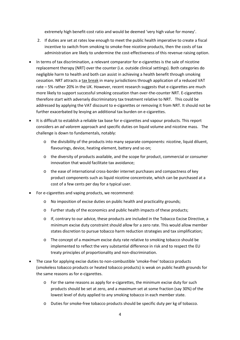extremely high benefit-cost ratio and would be deemed 'very high value for money'.

- 2. If duties are set at rates low enough to meet the public health imperative to create a fiscal incentive to switch from smoking to smoke-free nicotine products, then the costs of tax administration are likely to undermine the cost-effectiveness of this revenue raising option.
- In terms of tax discrimination, a relevant comparator for e-cigarettes is the sale of nicotine replacement therapy (NRT) over the counter (i.e. outside clinical settings). Both categories do negligible harm to health and both can assist in achieving a health benefit through smoking cessation. NRT attracts a tax break in many jurisdictions through application of a reduced VAT rate – 5% rather 20% in the UK. However, recent research suggests that e-cigarettes are much more likely to support successful smoking cessation than over-the-counter NRT. E-cigarettes therefore start with adversely discriminatory tax treatment relative to NRT. This could be addressed by applying the VAT discount to e-cigarettes or removing it from NRT. It should not be further exacerbated by levying an additional tax burden on e-cigarettes.
- It is difficult to establish a reliable tax base for e-cigarettes and vapour products. This report considers an *ad valorem* approach and specific duties on liquid volume and nicotine mass. The challenge is down to fundamentals, notably:
	- o the divisibility of the products into many separate components: nicotine, liquid diluent, flavourings, device, heating element, battery and so on;
	- o the diversity of products available, and the scope for product, commercial or consumer innovation that would facilitate tax avoidance;
	- o the ease of international cross-border internet purchases and compactness of key product components such as liquid nicotine concentrate, which can be purchased at a cost of a few cents per day for a typical user.
- For e-cigarettes and vaping products, we recommend:
	- o No imposition of excise duties on public health and practicality grounds;
	- o Further study of the economics and public health impacts of these products;
	- o If, contrary to our advice, these products are included in the Tobacco Excise Directive, a minimum excise duty constraint should allow for a zero rate. This would allow member states discretion to pursue tobacco harm reduction strategies and tax simplification;
	- o The concept of a *maximum* excise duty rate relative to smoking tobacco should be implemented to reflect the very substantial difference in risk and to respect the EU treaty principles of proportionality and non-discrimination.
- The case for applying excise duties to non-combustible 'smoke-free' tobacco products (smokeless tobacco products or heated tobacco products) is weak on public health grounds for the same reasons as for e-cigarettes.
	- o For the same reasons as apply for e-cigarettes, the minimum excise duty for such products should be set at zero, and a *maximum* set at some fraction (say 30%) of the lowest level of duty applied to any smoking tobacco in each member state.
	- Duties for smoke-free tobacco products should be specific duty per kg of tobacco.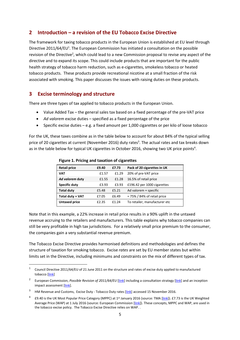# **2 Introduction – a revision of the EU Tobacco Excise Directive**

The framework for taxing tobacco products in the European Union is established at EU level through Directive 2011/64/EU<sup>1</sup>. The European Commission has initiated a consultation on the possible revision of the Directive<sup>2</sup>, which could lead to a new Commission proposal to revise any aspect of the directive and to expand its scope. This could include products that are important for the public health strategy of tobacco harm reduction, such as e-cigarettes, smokeless tobacco or heated tobacco products. These products provide recreational nicotine at a small fraction of the risk associated with smoking. This paper discusses the issues with raising duties on these products.

# **3 Excise terminology and structure**

There are three types of tax applied to tobacco products in the European Union.

- Value Added Tax the general sales tax based on a fixed percentage of the pre-VAT price
- *Ad valorem* excise duties specified as a fixed percentage of the price
- Specific excise duties e.g. a fixed amount per 1,000 cigarettes or per kilo of loose tobacco

For the UK, these taxes combine as in the table below to account for about 84% of the typical selling price of 20 cigarettes at current (November 2016) duty rates<sup>3</sup>. The actual rates and tax breaks down as in the table below for typical UK cigarettes in October 2016, showing two UK price points<sup>4</sup>.

| <b>Retail price</b>  | £9.40 | £7.73 | Pack of 20 cigarettes in UK    |
|----------------------|-------|-------|--------------------------------|
| <b>VAT</b>           | £1.57 | £1.29 | 20% of pre-VAT price           |
| Ad valorem duty      | £1.55 | £1.28 | 16.5% of retail price          |
| <b>Specific duty</b> | £3.93 | £3.93 | £196.42 per 1000 cigarettes    |
| <b>Total duty</b>    | £5.48 | £5.21 | Ad valorem + specific          |
| Total duty + VAT     | £7.05 | £6.49 | $= 75\%$ / 84% of retail price |
| <b>Untaxed price</b> | £2.35 | £1.24 | To retailer, manufacturer etc  |
|                      |       |       |                                |

#### **Figure 1. Pricing and taxation of cigarettes**

Note that in this example, a 22% increase in retail price results in a 90% uplift in the untaxed revenue accruing to the retailers and manufacturers. This table explains why tobacco companies can still be very profitable in high tax jurisdictions. For a relatively small price premium to the consumer, the companies gain a very substantial revenue premium.

The Tobacco Excise Directive provides harmonised definitions and methodologies and defines the structure of taxation for smoking tobacco. Excise *rates* are set by EU member states but within limits set in the Directive, including minimums and constraints on the mix of different types of tax.

 $1$  Council Directive 2011/64/EU of 21 June 2011 on the structure and rates of excise duty applied to manufactured tobacco [\[link\]](http://eur-lex.europa.eu/legal-content/en/ALL/?uri=CELEX%3A32011L0064)

<sup>&</sup>lt;sup>2</sup> European Commission, *Possible Revision of 2011/64/EU* [\[link\]](http://ec.europa.eu/taxation_customs/sites/taxation/files/resources/documents/taxation/excise_duties/tobacco_products/tobacco_consultation_strategy_final_en.pdf) including a consultation strategy [link] and an inception impact assessment [\[link\]](http://ec.europa.eu/smart-regulation/roadmaps/docs/2016_taxud_004_tobacco_excise_duty_en.pdf).

<sup>&</sup>lt;sup>3</sup> HM Revenue and Customs, Excise Duty - Tobacco Duty rates [\[link\]](https://www.gov.uk/government/publications/rates-and-allowances-excise-duty-tobacco-duty/excise-duty-tobacco-duty-rates) accessed 15 November 2016.

<sup>&</sup>lt;sup>4</sup> £9.40 is the UK Most Popular Price Category (MPPC) at 1<sup>st</sup> January 2016 (source: TMA [\[link\]](http://www.the-tma.org.uk/tma-publications-research/facts-figures/uk-cigarette-prices/)). £7.73 is the UK Weighted Average Price (WAP) at 1 July 2016 (source: European Commission [\[link\]](http://ec.europa.eu/taxation_customs/sites/taxation/files/resources/documents/taxation/excise_duties/tobacco_products/rates/excise_duties-part_iii_tobacco_en.pdf)). These concepts, MPPC and WAP, are used in the tobacco excise policy. The Tobacco Excise Directive relies on WAP. .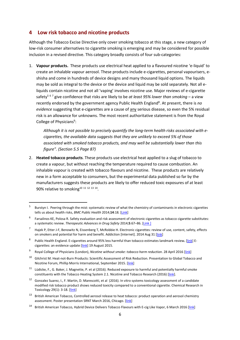# **4 Low risk tobacco and nicotine products**

Although the Tobacco Excise Directive only cover smoking tobacco at this stage, a new category of low-risk consumer alternatives to cigarette smoking is emerging and may be considered for possible inclusion in a revised directive. This category broadly consists of four sub-categories:

1. **Vapour products.** These products use electrical heat applied to a flavoured nicotine 'e-liquid' to create an inhalable vapour aerosol. These products include e-cigarettes, personal vapourisers, eshisha and come in hundreds of device designs and many thousand liquid options. The liquids may be sold as integral to the device or the device and liquid may be sold separately. Not all eliquids contain nicotine and not all 'vaping' involves nicotine use. Major reviews of e-cigarette safety5 <sup>6</sup> <sup>7</sup> give confidence that risks are likely to be *at least 95% lower than smoking* – a view recently endorsed by the government agency Public Health England<sup>8</sup>. At present, there is no *evidence* suggesting that e-cigarettes are a cause of any serious disease, so even the 5% residual risk is an allowance for unknowns. The most recent authoritative statement is from the Royal College of Physicians<sup>9</sup>:

*Although it is not possible to precisely quantify the long-term health risks associated with ecigarettes, the available data suggests that they are unlikely to exceed 5% of those associated with smoked tobacco products, and may well be substantially lower than this figure". (Section 5.5 Page 87)* 

2. **Heated tobacco products**. These products use electrical heat applied to a slug of tobacco to create a vapour, but without reaching the temperature required to cause combustion. An inhalable vapour is created with tobacco flavours and nicotine. These products are relatively new in a form acceptable to consumers, but the experimental data published so far by the manufacturers suggests these products are likely to offer reduced toxic exposures of at least 90% relative to smoking<sup>10 11 12 13 14</sup>.

<sup>10</sup> Gilchrist M. Heat-not-Burn Products: Scientific Assessment of Risk Reduction. Presentation to Global Tobacco and Nicotine Forum, Phillip Morris International, September 2015. [\[link\]](https://www.pmiscience.com/library/heat-not-burn-products-scientific-assessment-risk-reduction-0)

<sup>12</sup> Gonzalez Suarez, I., F. Martin, D. Marescotti, et al (2016). In vitro systems toxicology assessment of a candidate modified risk tobacco product shows reduced toxicity compared to a conventional cigarette. Chemical Research in Toxicology 29(1): 3-18. [\[link\]](http://pubs.acs.org/doi/abs/10.1021/acs.chemrestox.5b00321)

 <sup>5</sup> Burstyn I. Peering through the mist: systematic review of what the chemistry of contaminants in electronic cigarettes tells us about health risks, *BMC Public Health* 2014;**14**:18*.* [\[Link\]](http://www.biomedcentral.com/1471-2458/14/18/abstract)

<sup>6</sup> Farsalinos KE, Polosa R. Safety evaluation and risk assessment of electronic cigarettes as tobacco cigarette substitutes: a systematic review. *Therapeutic Advances in Drug Safety* 2014;**5**:67–86. [\[Link](http://taw.sagepub.com/lookup/doi/10.1177/2042098614524430) ]

Hajek P, Etter J-F, Benowitz N, Eissenberg T, McRobbie H. Electronic cigarettes: review of use, content, safety, effects on smokers and potential for harm and benefit. Addiction [Internet]. 2014 Aug 31 [\[link\]](http://www.ncbi.nlm.nih.gov/pubmed/25078252)

<sup>8</sup> Public Health England. E-cigarettes around 95% less harmful than tobacco estimates landmark review**.** [\[link\]](https://www.gov.uk/government/news/e-cigarettes-around-95-less-harmful-than-tobacco-estimates-landmark-review) E-cigarettes: an evidence update [\[link\]](https://www.gov.uk/government/publications/e-cigarettes-an-evidence-update) 19 August 2015.

<sup>&</sup>lt;sup>9</sup> Royal College of Physicians (London), *Nicotine without smoke: tobacco harm reduction*. 28 April 2016 [\[link\]](https://www.rcplondon.ac.uk/projects/outputs/nicotine-without-smoke-tobacco-harm-reduction-0)

 $11$  Lüdicke, F., G. Baker, J. Magnette, P. et al (2016). Reduced exposure to harmful and potentially harmful smoke constituents with the Tobacco Heating System 2.1. Nicotine and Tobacco Research (2016) [\[link\]](http://ntr.oxfordjournals.org/content/early/2016/07/01/ntr.ntw164.abstract?keyty).

<sup>&</sup>lt;sup>13</sup> British American Tobacco, Controlled aerosol release to heat tobacco: product operation and aerosol chemistry assessment. Poster presentation SRNT March 2016, Chicago. [\[link\]](http://www.bat-science.com/groupms/sites/BAT_9GVJXS.nsf/vwPagesWebLive/DOA7MJCN/$FILE/SRNT_SP_2016_(2).pdf?openelement)

<sup>&</sup>lt;sup>14</sup> British American Tobacco, Hybrid Device Delivers Tobacco Flavours with E-cig Like Vapor, 6 March 2016 [link]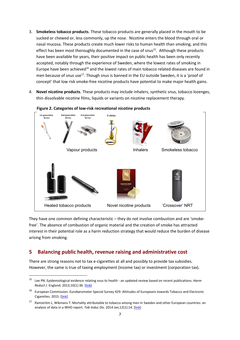- 3. **Smokeless tobacco products**. These tobacco products are generally placed in the mouth to be sucked or chewed or, less commonly, up the nose. Nicotine enters the blood through oral or nasal mucosa. These products create much lower risks to human health than smoking, and this effect has been most thoroughly documented in the case of snus<sup>15</sup>. Although these products have been available for years, their positive impact on public health has been only recently accepted, notably through the experience of Sweden, where the lowest rates of smoking in Europe have been achieved<sup>16</sup> and the lowest rates of main tobacco related diseases are found in men because of snus use<sup>17</sup>. Though snus is banned in the EU outside Sweden, it is a 'proof of concept' that low risk smoke-free nicotine products have potential to make major health gains.
- 4. **Novel nicotine products**. These products may include inhalers, synthetic snus, tobacco lozenges, thin dissolvable nicotine films, liquids or variants on nicotine replacement therapy.



#### **Figure 2. Categories of low-risk recreational nicotine products**

They have one common defining characteristic – they do not involve combustion and are 'smokefree'. The absence of combustion of organic material and the creation of smoke has attracted interest in their potential role as a harm reduction strategy that would reduce the burden of disease arising from smoking.

# **5 Balancing public health, revenue raising and administrative cost**

There are strong reasons not to tax e-cigarettes at all and possibly to provide tax subsidies. However, the same is true of taxing employment (income tax) or investment (corporation tax).

 <sup>15</sup> Lee PN. Epidemiological evidence relating snus to health - an updated review based on recent publications. *Harm Reduct J*. England; 2013;10(1):36. [\[link\]](https://www.ncbi.nlm.nih.gov/pmc/articles/PMC4029226/)

<sup>16</sup> European Commission. Eurobarometer Special Survey 429: Attitudes of Europeans towards Tobacco and Electronic Cigarettes. 2015. [\[link\]](http://ec.europa.eu/public_opinion/archives/ebs/ebs_429_en.pdf)

<sup>&</sup>lt;sup>17</sup> Ramström L, Wikmans T. Mortality attributable to tobacco among men in Sweden and other European countries: an analysis of data in a WHO report. *Tob Induc Dis*. 2014 Jan;12(1):14. [\[link\]](https://www.ncbi.nlm.nih.gov/pmc/articles/PMC4154048/?tool=pmcentrez)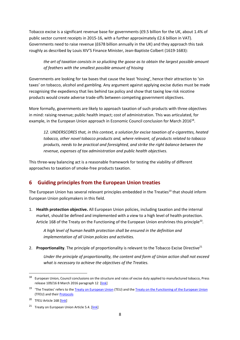Tobacco excise is a significant revenue base for governments (£9.5 billion for the UK, about 1.4% of public sector current receipts in 2015-16, with a further approximately £2.6 billion in VAT). Governments need to raise revenue (£678 billion annually in the UK) and they approach this task roughly as described by Louis XIV'S Finance Minister, Jean-Baptiste Colbert (1619-1683):

*the art of taxation consists in so plucking the goose as to obtain the largest possible amount of feathers with the smallest possible amount of hissing*

Governments are looking for tax bases that cause the least 'hissing', hence their attraction to 'sin taxes' on tobacco, alcohol and gambling. Any argument against applying excise duties must be made recognising the expediency that lies behind tax policy and show that taxing low risk nicotine products would create adverse trade-offs between competing government objectives.

More formally, governments are likely to approach taxation of such products with three objectives in mind: raising revenue; public health impact; cost of administration. This was articulated, for example, in the European Union approach in Economic Council conclusion for March 2016<sup>18</sup>.

*12. UNDERSCORES that, in this context, a solution for excise taxation of e-cigarettes, heated tobacco, other novel tobacco products and, where relevant, of products related to tobacco products, needs to be practical and foresighted, and strike the right balance between the revenue, expenses of tax administration and public health objectives.*

This three-way balancing act is a reasonable framework for testing the viability of different approaches to taxation of smoke-free products taxation.

# **6 Guiding principles from the European Union treaties**

The European Union has several relevant principles embedded in the Treaties<sup>19</sup> that should inform European Union policymakers in this field.

1. **Health protection objective.** All European Union policies, including taxation and the internal market, should be defined and implemented with a view to a high level of health protection. Article 168 of the Treaty on the Functioning of the European Union enshrines this principle<sup>20</sup>.

*A high level of human health protection shall be ensured in the definition and implementation of all Union policies and activities.* 

2. **Proportionality**. The principle of proportionality is relevant to the Tobacco Excise Directive<sup>21</sup>

*Under the principle of proportionality, the content and form of Union action shall not exceed what is necessary to achieve the objectives of the Treaties.*

 $18$  European Union, Council conclusions on the structure and rates of excise duty applied to manufactured tobacco, Press release 109/16 8 March 2016 paragraph 12 [\[link\]](http://www.consilium.europa.eu/en/press/press-releases/2016/03/08-ecofin-conclusions-structure-rates-manufactured-tobacco/)

<sup>&</sup>lt;sup>19</sup> 'The Treaties' refers to th[e Treaty on European Union](http://eur-lex.europa.eu/LexUriServ/LexUriServ.do?uri=OJ:C:2010:083:0047:020:en:PDF) (TEU) and th[e Treaty on the Functioning of the European Union](http://eur-lex.europa.eu/LexUriServ/LexUriServ.do?uri=OJ:C:2010:083:0047:0200:en:PDF) (TFEU) and thei[r Protocols](http://eur-lex.europa.eu/LexUriServ/LexUriServ.do?uri=OJ:C:2010:083:0201:0328:EN:PDF)

<sup>&</sup>lt;sup>20</sup> TFEU Article 168 [\[link\]](http://eur-lex.europa.eu/LexUriServ/LexUriServ.do?uri=CELEX:12008E168:EN:HTML)

<sup>&</sup>lt;sup>21</sup> Treaty on European Union Article 5.4. [\[link\]](http://eur-lex.europa.eu/legal-content/EN/TXT/?uri=CELEX:12012M/TXT)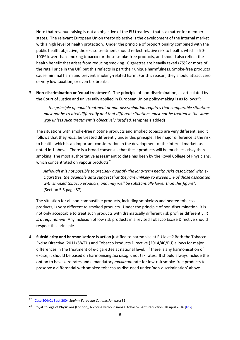Note that revenue raising is not an objective of the EU treaties – that is a matter for member states. The relevant European Union treaty objective is the development of the internal market with a high level of health protection. Under the principle of proportionality combined with the public health objective, the excise treatment should reflect relative risk to health, which is 90- 100% lower than smoking tobacco for these smoke-free products, and should also reflect the health benefit that arises from reducing smoking. Cigarettes are heavily taxed (75% or more of the retail price in the UK) but this reflects in part their unique harmfulness. Smoke-free products cause minimal harm and prevent smoking-related harm. For this reason, they should attract zero or very low taxation, or even tax breaks.

3. **Non-discrimination or 'equal treatment'**. The principle of non-discrimination, as articulated by the Court of Justice and universally applied in European Union policy-making is as follows<sup>22</sup>:

*… the principle of equal treatment or non-discrimination requires that comparable situations must not be treated differently and that different situations must not be treated in the same way unless such treatment is objectively justified.* (emphasis added)

The situations with smoke-free nicotine products and smoked tobacco are very different, and it follows that they *must* be treated differently under this principle. The major difference is the risk to health, which is an important consideration in the development of the internal market, as noted in 1 above. There is a broad consensus that these products will be much less risky than smoking. The most authoritative assessment to date has been by the Royal College of Physicians, which concentrated on vapour products $23$ :

*Although it is not possible to precisely quantify the long-term health risks associated with ecigarettes, the available data suggest that they are unlikely to exceed 5% of those associated with smoked tobacco products, and may well be substantially lower than this figure*". (Section 5.5 page 87)

The situation for all non-combustible products, including smokeless and heated tobacco products, is very different to smoked products. Under the principle of non-discrimination, it is not only acceptable to treat such products with dramatically different risk profiles differently, *it is a requirement.* Any inclusion of low risk products in a revised Tobacco Excise Directive should respect this principle.

4. **Subsidiarity and harmonisation**: is action justified to harmonise at EU level? Both the Tobacco Excise Directive (2011/68/EU) and Tobacco Products Directive (2014/40/EU) allows for major differences in the treatment of e-cigarettes at national level. If there is any harmonisation of excise, it should be based on harmonising *tax design*, not tax rates. It should always include the option to have zero rates and a mandatory *maximum* rate for low-risk smoke-free products to preserve a differential with smoked tobacco as discussed under 'non-discrimination' above.

 <sup>22</sup> [Case 304/01 Sept 2004](http://eur-lex.europa.eu/LexUriServ/LexUriServ.do?uri=CELEX:62001CJ0304:EN:HTML) *Spain v European Commission* para 31

<sup>&</sup>lt;sup>23</sup> Royal College of Physicians (London), Nicotine without smoke: tobacco harm reduction, 28 April 2016 [\[link\]](https://www.rcplondon.ac.uk/projects/outputs/nicotine-without-smoke-tobacco-harm-reduction-0)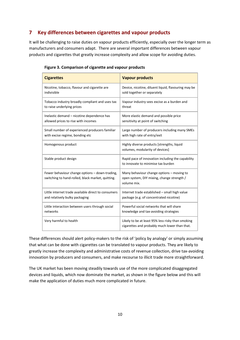# **7 Key differences between cigarettes and vapour products**

It will be challenging to raise duties on vapour products efficiently, especially over the longer term as manufacturers and consumers adapt. There are several important differences between vapour products and cigarettes that greatly increase complexity and allow scope for avoiding duties.

| <b>Cigarettes</b>                                                                                   | <b>Vapour products</b>                                                                                 |
|-----------------------------------------------------------------------------------------------------|--------------------------------------------------------------------------------------------------------|
| Nicotine, tobacco, flavour and cigarette are                                                        | Device, nicotine, diluent liquid, flavouring may be                                                    |
| indivisible                                                                                         | sold together or separately                                                                            |
| Tobacco industry broadly compliant and uses tax                                                     | Vapour industry sees excise as a burden and                                                            |
| to raise underlying prices                                                                          | threat                                                                                                 |
| Inelastic demand - nicotine dependence has                                                          | More elastic demand and possible price                                                                 |
| allowed prices to rise with incomes                                                                 | sensitivity at point of switching                                                                      |
| Small number of experienced producers familiar                                                      | Large number of producers including many SMEs                                                          |
| with excise regime, bonding etc                                                                     | with high rate of entry/exit                                                                           |
| Homogenous product                                                                                  | Highly diverse products [strengths, liquid<br>volumes, modularity of devices]                          |
| Stable product design                                                                               | Rapid pace of innovation including the capability<br>to innovate to minimise tax burden                |
| Fewer behaviour change options - down-trading,<br>switching to hand-rolled, black market, quitting. | Many behaviour change options - moving to<br>open system, DIY mixing, change strength /<br>volume mix. |
| Little internet trade available direct to consumers                                                 | Internet trade established - small high value                                                          |
| and relatively bulky packaging                                                                      | package (e.g. of concentrated nicotine)                                                                |
| Little interaction between users through social                                                     | Powerful social networks that will share                                                               |
| networks                                                                                            | knowledge and tax-avoiding strategies                                                                  |
| Very harmful to health                                                                              | Likely to be at least 95% less risky than smoking<br>cigarettes and probably much lower than that.     |

|  |  | Figure 3. Comparison of cigarette and vapour products |  |
|--|--|-------------------------------------------------------|--|
|  |  |                                                       |  |

These differences should alert policy-makers to the risk of 'policy by analogy' or simply assuming that what can be done with cigarettes can be translated to vapour products. They are likely to greatly increase the complexity and administrative costs of revenue collection, drive tax-avoiding innovation by producers and consumers, and make recourse to illicit trade more straightforward.

The UK market has been moving steadily towards use of the more complicated disaggregated devices and liquids, which now dominate the market, as shown in the figure below and this will make the application of duties much more complicated in future.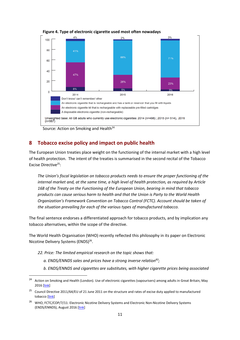

<span id="page-10-0"></span>**Figure 4. Type of electronic cigarette used most often nowadays**

Source: Action on Smoking and Health<sup>24</sup>

# **8 Tobacco excise policy and impact on public health**

The European Union treaties place weight on the functioning of the internal market with a high level of health protection. The intent of the treaties is summarised in the second recital of the Tobacco Excise Directive25:

*The Union's fiscal legislation on tobacco products needs to ensure the proper functioning of the internal market and, at the same time, a high level of health protection, as required by Article 168 of the Treaty on the Functioning of the European Union, bearing in mind that tobacco products can cause serious harm to health and that the Union is Party to the World Health Organization's Framework Convention on Tobacco Control (FCTC). Account should be taken of the situation prevailing for each of the various types of manufactured tobacco.*

The final sentence endorses a differentiated approach for tobacco products, and by implication any tobacco alternatives, within the scope of the directive.

The World Health Organisation (WHO) recently reflected this philosophy in its paper on Electronic Nicotine Delivery Systems (ENDS)<sup>26</sup>.

- *22. Price: The limited empirical research on the topic shows that:* 
	- *a. ENDS/ENNDS sales and prices have a strong inverse relation83;*
	- *b. ENDS/ENNDS and cigarettes are substitutes, with higher cigarette prices being associated*

<sup>&</sup>lt;sup>24</sup> Action on Smoking and Health (London). Use of electronic cigarettes (vapourisers) among adults in Great Britain, May 2016 [\[link\]](http://www.ash.org.uk/files/documents/ASH_891.pdf)

<sup>25</sup> Council Directive 2011/64/EU of 21 June 2011 on the structure and rates of excise duty applied to manufactured tobacco [\[link\]](http://eur-lex.europa.eu/legal-content/en/ALL/?uri=CELEX%3A32011L0064)

<sup>&</sup>lt;sup>26</sup> WHO, FCTC/COP/7/11: Electronic Nicotine Delivery Systems and Electronic Non-Nicotine Delivery Systems (ENDS/ENNDS), August 2016 [\[link\]](http://www.who.int/fctc/cop/cop7/FCTC_COP_7_11_EN.pdf)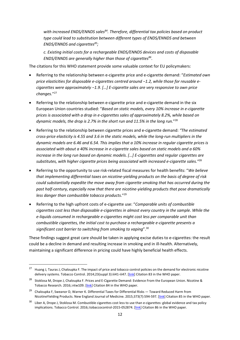with increased ENDS/ENNDS sales<sup>84</sup>. Therefore, differential tax policies based on product *type could lead to substitution between different types of ENDS/ENNDS and between ENDS/ENNDS and cigarettes85;* 

*c. Existing initial costs for a rechargeable ENDS/ENNDS devices and costs of disposable ENDS/ENNDS are generally higher than those of cigarettes86*.

The citations for this WHO statement provide some valuable context for EU policymakers:

- Referring to the relationship between e-cigarette price and e-cigarette demand: "*Estimated own price elasticities for disposable e-cigarettes centred around −1.2, while those for reusable ecigarettes were approximately −1.9. […] E-cigarette sales are very responsive to own price changes.*"27
- Referring to the relationship between e-cigarette price and e-cigarette demand in the six European Union countries studied: "*Based on static models, every 10% increase in e-cigarette prices is associated with a drop in e-cigarettes sales of approximately 8.2%, while based on dynamic models, the drop is 2.7% in the short run and 11.5% in the long run.*"28
- Referring to the relationship between cigarette prices and e-cigarette demand: *"The estimated cross-price elasticity is 4.55 and 3.6 in the static models, while the long-run multipliers in the dynamic models are 6.46 and 6.54. This implies that a 10% increase in regular cigarette prices is associated with about a 40% increase in e-cigarette sales based on static models and a 60% increase in the long run based on dynamic models. […] E-cigarettes and regular cigarettes are substitutes, with higher cigarette prices being associated with increased e-cigarette sales."*<sup>28</sup>
- Referring to the opportunity to use risk-related fiscal measures for health benefits: "*We believe that implementing differential taxes on nicotine-yielding products on the basis of degree of risk could substantially expedite the move away from cigarette smoking that has occurred during the past half-century, especially now that there are nicotine-yielding products that pose dramatically less danger than combustible tobacco products*."29
- Referring to the high upfront costs of e-cigarette use: "*Comparable units of combustible cigarettes cost less than disposable e-cigarettes in almost every country in the sample. While the e-liquids consumed in rechargeable e-cigarettes might cost less per comparable unit than combustible cigarettes, the initial cost to purchase a rechargeable e-cigarette presents a significant cost barrier to switching from smoking to vaping*". 30

These findings suggest great care should be taken in applying excise duties to e-cigarettes: the result could be a decline in demand and resulting increase in smoking and in ill-health. Alternatively, maintaining a significant difference in pricing could have highly beneficial health effects.

<sup>&</sup>lt;sup>27</sup> Huang J, Tauras J, Chaloupka F. The impact of price and tobacco control policies on the demand for electronic nicotine delivery systems. Tobacco Control. 2014;23(suppl 3):iii41-iii47. [\[link\]](http://tobaccocontrol.bmj.com/content/23/suppl_3/iii41.full) Citation 83 in the WHO paper.

<sup>&</sup>lt;sup>28</sup> Stoklosa M, Drope J, Chaloupka F. Prices and E-Cigarette Demand: Evidence From the European Union. Nicotine & Tobacco Research. 2016;:ntw109. [\[link\]](http://ntr.oxfordjournals.org/content/early/2016/04/16/ntr.ntw109) Citation 84 in the WHO paper.

<sup>&</sup>lt;sup>29</sup> Chaloupka F, Sweanor D, Warner K. Differential Taxes for Differential Risks — Toward Reduced Harm from NicotineYielding Products. New England Journal of Medicine. 2015;373(7):594-597. [\[link\]](http://www.nejm.org/doi/full/10.1056/NEJMp1505710) Citation 85 in the WHO paper.

<sup>&</sup>lt;sup>30</sup> Liber A, Drope J, Stoklosa M. Combustible cigarettes cost less to use than e-cigarettes: global evidence and tax policy implications. Tobacco Control. 2016;:tobaccocontrol-2015-052874. [\[link\]](http://tobaccocontrol.bmj.com/content/early/2016/03/16/tobaccocontrol-2015-052874.abstract) Citation 86 in the WHO paper.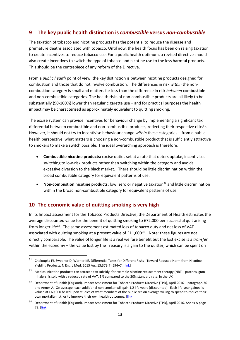# **9 The key public health distinction is** *combustible* **versus** *non-combustible*

The taxation of tobacco and nicotine products has the potential to reduce the disease and premature deaths associated with tobacco. Until now, the health focus has been on raising taxation to create incentives to reduce tobacco use. For a public health optimum, a revised directive should also create incentives to switch the type of tobacco and nicotine use to the less harmful products. This should be the centrepiece of any reform of the Directive.

From a *public health* point of view, the key distinction is between nicotine products designed for combustion and those that do not involve combustion. The differences in risk *within* the noncombustion category is small and matters far less than the difference in risk *between* combustible and non-combustible categories. The health risks of non-combustible products are all likely to be substantially (90-100%) lower than regular cigarette use – and for practical purposes the health impact may be characterised as approximately equivalent to quitting smoking.

The excise system can provide incentives for behaviour change by implementing a significant tax differential between combustible and non-combustible products, reflecting their respective risks $31$ . However, it should not try to incentivise behaviour change *within* these categories – from a public health perspective, what matters is choosing a non-combustible product that is sufficiently attractive to smokers to make a switch possible. The ideal overarching approach is therefore:

- **Combustible nicotine products:** excise duties set at a rate that deters uptake, incentivises switching to low-risk products rather than switching within the category and avoids excessive diversion to the black market. There should be little discrimination within the broad combustible category for equivalent patterns of use.
- **Non-combustion nicotine products:** low, zero or negative taxation<sup>32</sup> and little discrimination within the broad non-combustible category for equivalent patterns of use.

# **10 The economic value of quitting smoking is very high**

In its Impact assessment for the Tobacco Products Directive, the Department of Health estimates the average discounted value for the benefit of quitting smoking to £72,000 per successful quit arising from longer life<sup>33</sup>. The same assessment estimated loss of tobacco duty and net loss of VAT associated with quitting smoking at a present value of £11,000<sup>34</sup>. Note: these figures are not directly comparable. The value of longer life is a real welfare benefit but the lost excise is a *transfer* within the economy – the value lost by the Treasury is a gain to the quitter, which can be spent on

 $31$  Chaloupka FJ, Sweanor D, Warner KE. Differential Taxes for Different Risks - Toward Reduced Harm from Nicotine-Yielding Products. N Engl J Med. 2015 Aug 13;373(7):594–7. [\[link\]](http://www.nejm.org/doi/full/10.1056/NEJMp1505710)

 $32$  Medical nicotine products can attract a tax subsidy, for example nicotine replacement therapy (NRT – patches, gum inhalers) is sold with a reduced rate of VAT, 5% compared to the 20% standard rate, in the UK

<sup>33</sup> Department of Health (England). Impact Assessment for Tobacco Products Directive (TPD), April 2016 – paragraph 76 and Annex A. On average, each additional non-smoker will gain 1.2 life years (discounted). Each life-year gained is valued at £60,000 based upon studies of what members of the public are on average willing to spend to reduce their own mortality risk, or to improve their own health outcomes. [\[link\]](http://www.legislation.gov.uk/ukia/2016/109/pdfs/ukia_20160109_en.pdf)

<sup>&</sup>lt;sup>34</sup> Department of Health (England). Impact Assessment for Tobacco Products Directive (TPD), April 2016. Annex A page 72. [\[link\]](http://www.legislation.gov.uk/ukia/2016/109/pdfs/ukia_20160109_en.pdf)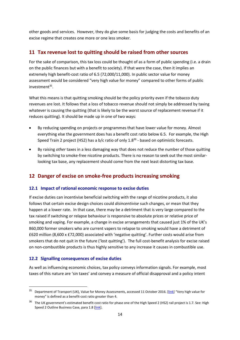other goods and services. However, they do give some basis for judging the costs and benefits of an excise regime that creates one more or one less smoker.

# **11 Tax revenue lost to quitting should be raised from other sources**

For the sake of comparison, this tax loss could be thought of as a form of public spending (i.e. a drain on the public finances but with a benefit to society). If that were the case, then it implies an extremely high benefit-cost ratio of 6.5 (72,000/11,000). In public sector value for money assessment would be considered "very high value for money" compared to other forms of public  $investment<sup>35</sup>$ .

What this means is that quitting smoking should be the policy priority even if the tobacco duty revenues are lost. It follows that a loss of tobacco revenue should not simply be addressed by taxing whatever is causing the quitting (that is likely to be the worst source of replacement revenue if it reduces quitting). It should be made up in one of two ways:

- By reducing spending on projects or programmes that have lower value for money. Almost everything else the government does has a benefit cost ratio below 6.5. For example, the High Speed Train 2 project (HS2) has a b/c ratio of only 1.8<sup>36</sup> - based on optimistic forecasts.
- By raising *other* taxes in a less damaging way that does not reduce the number of those quitting by switching to smoke-free nicotine products. There is no reason to seek out the most similarlooking tax base, any replacement should come from the next least distorting tax base.

# **12 Danger of excise on smoke-free products increasing smoking**

#### **12.1 Impact of rational economic response to excise duties**

If excise duties can incentivise beneficial switching with the range of nicotine products, it also follows that certain excise design choices could *disincentivise* such changes, or mean that they happen at a lower rate. In that case, there may be a detriment that is very large compared to the tax raised if switching or relapse behaviour is responsive to absolute prices or relative price of smoking and vaping. For example, a change in excise arrangements that caused just 1% of the UK's 860,000 former smokers who are current vapers to relapse to smoking would have a detriment of £620 million (8,600 x £72,000) associated with 'negative quitting'. Further costs would arise from smokers that do not quit in the future ('lost quitting'). The full cost-benefit analysis for excise raised on non-combustible products is thus highly sensitive to any increase it causes in combustible use.

#### **12.2 Signalling consequences of excise duties**

As well as influencing economic choices, tax policy conveys information signals. For example, most taxes of this nature are 'sin taxes' and convey a measure of official disapproval and a policy intent

<sup>&</sup>lt;sup>35</sup> Department of Transport (UK), Value for Money Assessments, accessed 11 October 2016. [\[link\]](https://www.gov.uk/government/uploads/system/uploads/attachment_data/file/255126/value-for-money-external.pdf) "Very high value for money" is defined as a benefit-cost ratio greater than 4.

<sup>&</sup>lt;sup>36</sup> The UK government's estimated benefit-cost ratio for phase one of the High Speed 2 (HS2) rail project is 1.7. See: High Speed 2 Outline Business Case, para 1.8 [\[link\]](https://www.gov.uk/government/uploads/system/uploads/attachment_data/file/286611/hs2-economic-case.pdf).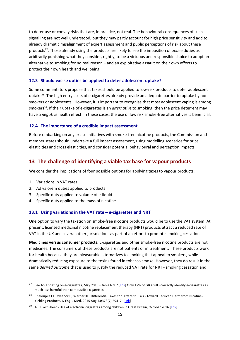to deter use or convey risks that are, in practice, not real. The behavioural consequences of such signalling are not well understood, but they may partly account for high price sensitivity and add to already dramatic misalignment of expert assessment and public perceptions of risk about these products<sup>37</sup>. Those already using the products are likely to see the imposition of excise duties as arbitrarily punishing what they consider, rightly, to be a virtuous and responsible choice to adopt an alternative to smoking for no real reason – and an exploitative assault on their own efforts to protect their own health and wellbeing.

#### **12.3 Should excise duties be applied to deter adolescent uptake?**

Some commentators propose that taxes should be applied to low-risk products to deter adolescent uptake<sup>38</sup>. The high entry costs of e-cigarettes already provide an adequate barrier to uptake by nonsmokers or adolescents. However, it is important to recognise that most adolescent vaping is among smokers39. If their uptake of e-cigarettes is an *alternative* to smoking, then the price deterrent may have a *negative* health effect. In these cases, the use of low risk smoke-free alternatives is beneficial.

#### **12.4 The importance of a credible impact assessment**

Before embarking on any excise initiatives with smoke-free nicotine products, the Commission and member states should undertake a full impact assessment, using modelling scenarios for price elasticities and cross elasticities, and consider potential behavioural and perception impacts.

# **13 The challenge of identifying a viable tax base for vapour products**

We consider the implications of four possible options for applying taxes to vapour products:

- 1. Variations in VAT rates
- 2. Ad valorem duties applied to products
- 3. Specific duty applied to volume of e-liquid
- 4. Specific duty applied to the mass of nicotine

#### **13.1 Using variations in the VAT rate – e-cigarettes and NRT**

One option to vary the taxation on smoke-free nicotine products would be to use the VAT system. At present, licensed medicinal nicotine replacement therapy (NRT) products attract a reduced rate of VAT in the UK and several other jurisdictions as part of an effort to promote smoking cessation.

**Medicines versus consumer products.** E-cigarettes and other smoke-free nicotine products are not medicines. The consumers of these products are not patients or in treatment. These products work for health because they are pleasurable alternatives to smoking that appeal to smokers, while dramatically reducing exposure to the toxins found in tobacco smoke. However, they do result in the same *desired outcome* that is used to justify the reduced VAT rate for NRT - smoking cessation and

<sup>&</sup>lt;sup>37</sup> See ASH briefing on e-cigarettes, May 2016 – table 6 & 7 [\[link\]](http://www.ash.org.uk/files/documents/ASH_891.pdf) Only 12% of GB adults correctly identify e-cigarettes as much less harmful than combustible cigarettes.

<sup>&</sup>lt;sup>38</sup> Chaloupka FJ, Sweanor D, Warner KE. Differential Taxes for Different Risks - Toward Reduced Harm from Nicotine-Yielding Products. N Engl J Med. 2015 Aug 13;373(7):594-7. [\[link\]](http://www.nejm.org/doi/full/10.1056/NEJMp1505710)

<sup>&</sup>lt;sup>39</sup> ASH Fact Sheet - Use of electronic cigarettes among children in Great Britain, October 2016 [\[link\]](http://www.ash.org.uk/files/documents/ASH_959.pdf)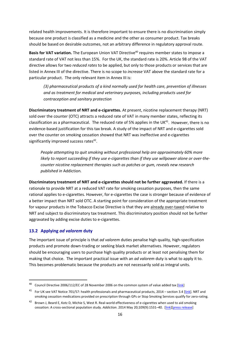related health improvements. It is therefore important to ensure there is no discrimination simply because one product is classified as a medicine and the other as consumer product. Tax breaks should be based on desirable outcomes, not an arbitrary difference in regulatory approval route.

**Basis for VAT variation.** The European Union VAT Directive<sup>40</sup> requires member states to impose a standard rate of VAT not less than 15%. For the UK, the standard rate is 20%. Article 98 of the VAT directive allows for two *reduced rates* to be applied, but only to those products or services that are listed in Annex III of the directive. There is no scope to *increase* VAT above the standard rate for a particular product. The only relevant item in Annex III is:

*(3) pharmaceutical products of a kind normally used for health care, prevention of illnesses and as treatment for medical and veterinary purposes, including products used for contraception and sanitary protection*

**Discriminatory treatment of NRT and e-cigarettes.** At present, nicotine replacement therapy (NRT) sold over the counter (OTC) attracts a reduced rate of VAT in many member states, reflecting its classification as a pharmaceutical. The reduced rate of 5% applies in the UK<sup>41</sup>. However, there is no evidence-based justification for this tax break. A study of the impact of NRT and e-cigarettes sold over the counter on smoking cessation showed that NRT was ineffective and e-cigarettes significantly improved success rates $42$ .

*People attempting to quit smoking without professional help are approximately 60% more likely to report succeeding if they use e-cigarettes than if they use willpower alone or over-thecounter nicotine replacement therapies such as patches or gum, reveals new research published in* Addiction*.*

**Discriminatory treatment of NRT and e-cigarettes should not be further aggravated.** If there is a rationale to provide NRT at a reduced VAT rate for smoking cessation purposes, then the same rational applies to e-cigarettes. However, for e-cigarettes the case is stronger because of evidence of a better impact than NRT sold OTC. A starting point for consideration of the appropriate treatment for vapour products in the Tobacco Excise Directive is that they are already over-taxed relative to NRT and subject to discriminatory tax treatment. This discriminatory position should not be further aggravated by adding excise duties to e-cigarettes.

### **13.2 Applying** *ad valorem* **duty**

The important issue of principle is that *ad valorem* duties penalise high quality, high-specification products and promote down-trading or seeking black market alternatives. However, regulators should be encouraging users to purchase high quality products or at least not penalising them for making that choice. The important practical issue with an *ad valorem* duty is what to apply it to. This becomes problematic because the products are not necessarily sold as integral units.

<sup>&</sup>lt;sup>40</sup> Council Directive 2006/112/EC of 28 November 2006 on the common system of value added tax [\[link\]](http://eur-lex.europa.eu/legal-content/EN/ALL/?uri=CELEX:32006L0112)

<sup>&</sup>lt;sup>41</sup> For UK see VAT Notice 701/57: health professionals and pharmaceutical products, 2014 – section 3.4 [\[link\]](https://www.gov.uk/government/publications/vat-notice-70157-health-professionals-and-pharmaceutical-products/vat-notice-70157-health-professionals-and-pharmaceutical-products). NRT and smoking cessation medications provided on prescription through GPs or Stop Smoking Services qualify for zero-rating.

<sup>&</sup>lt;sup>42</sup> Brown J, Beard E, Kotz D, Michie S, West R. Real-world effectiveness of e-cigarettes when used to aid smoking cessation: A cross-sectional population study. *Addiction*. 2014 May 20;109(9):1531–40. [\[link\]](https://www.ncbi.nlm.nih.gov/pmc/articles/PMC4171752/)[\[press release\]](http://eu.wiley.com/WileyCDA/PressRelease/pressReleaseId-110827.html)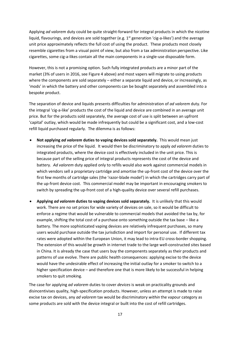Applying *ad valorem* duty could be quite straight-forward for integral products in which the nicotine liquid, flavourings, and devices are sold together (e.g.  $1<sup>st</sup>$  generation 'cig-a-likes') and the average unit price approximately reflects the full cost of using the product. These products most closely resemble cigarettes from a visual point of view, but also from a tax administration perspective. Like cigarettes, some cig-a-likes contain all the main components in a single-use disposable form.

However, this is not a promising option. Such fully integrated products are a minor part of the market (3% of users in 2016, se[e Figure 4](#page-10-0) above) and most vapers will migrate to using products where the components are sold separately – either a separate liquid and device, or increasingly, as 'mods' in which the battery and other components can be bought separately and assembled into a bespoke product.

The separation of device and liquids presents difficulties for administration of *ad valorem* duty. For the integral 'cig-a-like' products the cost of the liquid and device are combined in an average unit price. But for the products sold separately, the average cost of use is split between an upfront 'capital' outlay, which would be made infrequently but could be a significant cost, and a low-cost refill liquid purchased regularly. The dilemma is as follows:

- **Not applying** *ad valorem* **duties to vaping devices sold separately.** This would mean just increasing the price of the liquid. It would then be discriminatory to apply *ad valorem* duties to integrated products, where the device cost is effectively included in the unit price. This is because part of the selling price of integral products represents the cost of the device and battery. *Ad valorem* duty applied only to refills would also work against commercial models in which vendors sell a proprietary cartridge and amortise the up-front cost of the device over the first few months of cartridge sales (the 'razor-blade model') in which the cartridges carry part of the up-front device cost. This commercial model may be important in encouraging smokers to switch by spreading the up-front cost of a high-quality device over several refill purchases.
- **Applying** *ad valorem* **duties to vaping devices sold separately.** It is unlikely that this would work. There are no set prices for wide variety of devices on sale, so it would be difficult to enforce a regime that would be vulnerable to commercial models that avoided the tax by, for example, shifting the total cost of a purchase onto something outside the tax base – like a battery. The more sophisticated vaping devices are relatively infrequent purchases, so many users would purchase outside the tax jurisdiction and import for personal use. If different tax rates were adopted within the European Union, it may lead to intra-EU cross-border shopping. The extension of this would be growth in internet trade to the large well-constructed sites based in China. It is already the case that users buy the components separately as their products and patterns of use evolve. There are public health consequences: applying excise to the device would have the undesirable effect of increasing the initial outlay for a smoker to switch to a higher specification device – and therefore one that is more likely to be successful in helping smokers to quit smoking.

The case for applying *ad valorem* duties to cover *devices* is weak on practicality grounds and disincentivises quality, high-specification products. However, unless an attempt is made to raise excise tax on devices, any *ad valorem* tax would be discriminatory *within* the vapour category as some products are sold with the device integral or built into the cost of refill cartridges.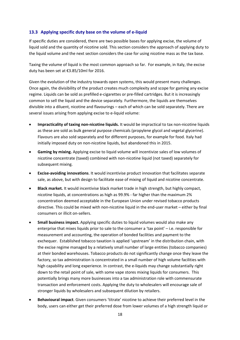#### **13.3 Applying specific duty base on the volume of e-liquid**

If specific duties are considered, there are two possible bases for applying excise, the volume of liquid sold and the quantity of nicotine sold. This section considers the approach of applying duty to the liquid volume and the next section considers the case for using nicotine mass as the tax base.

Taxing the volume of liquid is the most common approach so far. For example, in Italy, the excise duty has been set at €3.85/10ml for 2016.

Given the evolution of the industry towards open systems, this would present many challenges. Once again, the divisibility of the product creates much complexity and scope for gaming any excise regime. Liquids can be sold as prefilled e-cigarettes or pre-filled cartridges. But it is increasingly common to sell the liquid and the device separately. Furthermore, the liquids are themselves divisible into a diluent, nicotine and flavourings – each of which can be sold separately. There are several issues arising from applying excise to e-liquid volume:

- **Impracticality of taxing non-nicotine liquids.** It would be impractical to tax non-nicotine liquids as these are sold as bulk general purpose chemicals (propylene glycol and vegetal glycerine). Flavours are also sold separately and for different purposes, for example for food. Italy had initially imposed duty on non-nicotine liquids, but abandoned this in 2015.
- **Gaming by mixing.** Applying excise to liquid volume will incentivize sales of low volumes of nicotine concentrate (taxed) combined with non-nicotine liquid (not taxed) separately for subsequent mixing.
- **Excise-avoiding innovations**. It would incentivise product innovation that facilitates separate sale, as above, but with design to facilitate ease of mixing of liquid and nicotine concentrate.
- **Black market.** It would incentivise black market trade in high strength, but highly compact, nicotine liquids, at concentrations as high as 99.9% - far higher than the maximum 2% concentration deemed acceptable in the European Union under revised tobacco products directive. This could be mixed with non-nicotine liquid in the end-user market – either by final consumers or illicit on-sellers.
- **Small business impact.** Applying specific duties to liquid volumes would also make any enterprise that mixes liquids prior to sale to the consumer a 'tax point' – i.e. responsible for measurement and accounting, the operation of bonded facilities and payment to the exchequer. Established tobacco taxation is applied 'upstream' in the distribution chain, with the excise regime managed by a relatively small number of large entities (tobacco companies) at their bonded warehouses. Tobacco products do not significantly change once they leave the factory, so tax administration is concentrated in a small number of high volume facilities with high capability and long experience. In contrast, the e-liquids may change substantially right down to the retail point of sale, with some vape stores mixing liquids for consumers. This potentially brings many more businesses into a tax administration role with commensurate transaction and enforcement costs. Applying the duty to wholesalers will encourage sale of stronger liquids by wholesalers and subsequent dilution by retailers.
- **Behavioural impact**. Given consumers 'titrate' nicotine to achieve their preferred level in the body, users can either get their preferred dose from lower volumes of a high strength liquid or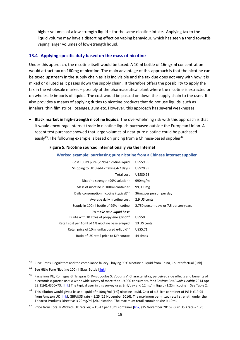higher volumes of a low strength liquid – for the same nicotine intake. Applying tax to the liquid volume may have a distorting effect on vaping behaviour, which has seen a trend towards vaping larger volumes of low-strength liquid.

#### **13.4 Applying specific duty based on the mass of nicotine**

Under this approach, the nicotine itself would be taxed. A 10ml bottle of 16mg/ml concentration would attract tax on 160mg of nicotine. The main advantage of this approach is that the nicotine can be taxed upstream in the supply chain as it is indivisible and the tax due does not vary with how it is mixed or diluted as it passes down the supply chain. It therefore offers the possibility to apply the tax in the wholesale market – possibly at the pharmaceutical plant where the nicotine is extracted or on wholesale imports of liquids. The cost would be passed on down the supply chain to the user. It also provides a means of applying duties to nicotine products that do not use liquids, such as inhalers, thin film strips, lozenges, gum etc. However, this approach has several weaknesses:

• **Black market in high-strength nicotine liquids**. The overwhelming risk with this approach is that it would encourage internet trade in nicotine liquids purchased outside the European Union. A recent test purchase showed that large volumes of near-pure nicotine could be purchased easily<sup>43</sup>. The following example is based on pricing from a Chinese-based supplier<sup>44</sup>.

| Worked example: purchasing pure nicotine from a Chinese internet supplier |                                       |
|---------------------------------------------------------------------------|---------------------------------------|
| Cost 100ml pure (=99%) nicotine liquid                                    | US\$59.99                             |
| Shipping to UK (Fed-Ex taking 4-7 days)                                   | US\$20.99                             |
| Total cost                                                                | US\$80.98                             |
| Nicotine strength (99% solution)                                          | 990 <sub>mg/ml</sub>                  |
| Mass of nicotine in 100ml container                                       | 99,000 <sub>mg</sub>                  |
| Daily consumption nicotine (typical) <sup>45</sup>                        | 36 mg per person per day              |
| Average daily nicotine cost                                               | 2.9 US cents                          |
| Supply in 100ml bottle of 99% nicotine                                    | 2,750 person-days or 7.5 person-years |
| To make an e-liquid base                                                  |                                       |
| Dilute with 10 litres of propylene glycol <sup>46</sup>                   | US\$50                                |
| Retail cost per 10ml of 1% nicotine base e-liquid                         | 13 US cents                           |
| Retail price of 10ml unflavoured e-liquid <sup>47</sup>                   | US\$5.71                              |
| Ratio of UK retail price to DIY source                                    | 44 times                              |

#### **Figure 5. Nicotine sourced internationally via the Internet**

Clive Bates, Regulators and the compliance fallacy - buying 99% nicotine e-liquid from China, Counterfactual [\[link\]](http://www.clivebates.com/?p=4017)

<sup>44</sup> See HiLiq Pure Nicotine 100ml Glass Bottle [\[link\]](http://www.hiliq.com/pure-nicotine-100ml)

<sup>&</sup>lt;sup>45</sup> Farsalinos KE, Romagna G, Tsiapras D, Kyrzopoulos S, Voudris V. Characteristics, perceived side effects and benefits of electronic cigarette use: A worldwide survey of more than 19,000 consumers. *Int J Environ Res Public Health*; 2014 Apr 22;11(4):4356–73. [\[link\]](http://www.mdpi.com/1660-4601/11/4/4356) The typical user in this survey uses 3ml/day and 12mg/ml liquid (1.2% nicotine). See Table 2.

<sup>&</sup>lt;sup>46</sup> This dilution would give a base e-liquid of ~10mg/ml (1%) nicotine liquid. Cost of a 5-litre container of PG is £19.95 from Amazon UK [\[link\]](https://www.amazon.co.uk/LITRE-PROPYLENE-GLYCOL-PHARMACEUTICAL-GRADE-x/dp/B012LCDFME). GBP:USD rate = 1.25 (15 November 2016). The maximum permitted retail strength under the Tobacco Products Directive is 20mg/ml (2%) nicotine. The maximum retail container size is 10ml.

<sup>&</sup>lt;sup>47</sup> Price from Totally Wicked (UK retailer) = £5.47 per 10ml container [*link*] (15 November 2016). GBP:USD rate = 1.25.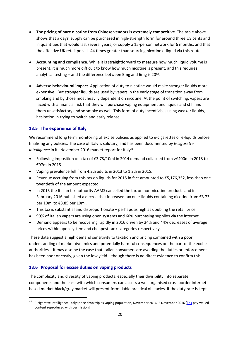- **The pricing of pure nicotine from Chinese vendors is extremely competitive**. The table above shows that a days' supply can be purchased in high-strength form for around three US cents and in quantities that would last several years, or supply a 15-person network for 6 months, and that the effective UK retail price is 44 times greater than sourcing nicotine e-liquid via this route.
- **Accounting and compliance**. While it is straightforward to measure how much liquid volume is present, it is much more difficult to know how much nicotine is present, and this requires analytical testing – and the difference between 5mg and 6mg is 20%.
- **Adverse behavioural impact**. Application of duty to nicotine would make stronger liquids more expensive. But stronger liquids are used by vapers in the early stage of transition away from smoking and by those most heavily dependent on nicotine. At the point of switching, vapers are faced with a financial risk that they will purchase vaping equipment and liquids and still find them unsatisfactory and so smoke as well. This form of duty incentivises using weaker liquids, hesitation in trying to switch and early relapse.

# **13.5 The experience of Italy**

We recommend long term monitoring of excise policies as applied to e-cigarettes or e-liquids before finalising any policies. The case of Italy is salutary, and has been documented by *E-cigarette Intelligence* in its November 2016 market report for Italy<sup>48</sup>.

- Following imposition of a tax of €3.73/10ml in 2014 demand collapsed from >€400m in 2013 to €97m in 2015.
- Vaping prevalence fell from 4.2% adults in 2013 to 1.2% in 2015.
- Revenue accruing from this tax on liquids for 2015 in fact amounted to €5,176,352, less than one twentieth of the amount expected
- In 2015 the Italian tax authority AAMS cancelled the tax on non-nicotine products and in February 2016 published a decree that increased tax on e-liquids containing nicotine from €3.73 per 10ml to €3.85 per 10ml.
- This tax is substantial and disproportionate perhaps as high as doubling the retail price.
- 90% of Italian vapers are using open systems and 60% purchasing supplies via the internet.
- Demand appears to be recovering rapidly in 2016 driven by 24% and 44% decreases of average prices within open system and cheapest tank categories respectively.

These data suggest a high demand sensitivity to taxation and pricing combined with a poor understanding of market dynamics and potentially harmful consequences on the part of the excise authorities.. It may also be the case that Italian consumers are avoiding the duties or enforcement has been poor or costly, given the low yield – though there is no direct evidence to confirm this.

# **13.6 Proposal for excise duties on vaping products**

The complexity and diversity of vaping products, especially their divisibility into separate components and the ease with which consumers can access a well organised cross border internet based market black/grey market will present formidable practical obstacles. If the duty rate is kept

<sup>&</sup>lt;sup>48</sup> E-cigarette Intelligence, Italy: price drop triples vaping population, November 2016, 2 November 2016 [\[link](http://ecigintelligence.com/italy-price-drop-triples-vaping-population-november-2016/) pay-walled content reproduced with permission]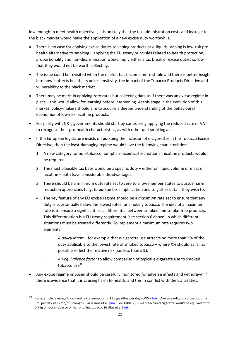low enough to meet health objectives, it is unlikely that the tax administration costs and leakage to the black market would make the application of a new excise duty worthwhile.

- There is no case for applying excise duties to vaping products or e-liquids. Vaping is low-risk prohealth alternative to smoking – applying the EU treaty principles related to health protection, proportionality and non-discrimination would imply either a tax break or excise duties so low that they would not be worth collecting.
- The issue could be revisited when the market has become more stable and there is better insight into how it affects health, its price sensitivity, the impact of the Tobacco Products Directive and vulnerability to the black market.
- There may be merit in applying zero rates but collecting data as if there was an excise regime in place – this would allow for learning before intervening. At this stage in the evolution of this market, policy-makers should aim to acquire a deeper understanding of the behavioural economics of low-risk nicotine products.
- For parity with NRT, governments should start by considering applying the reduced rate of VAT to recognise their pro-health characteristics, as with other quit smoking aids.
- If the European legislature insists on pursuing the inclusion of e-cigarettes in the Tobacco Excise Directive, then the least-damaging regime would have the following characteristics:
	- 1. A new category for non-tobacco non-pharmaceutical recreational nicotine products would be required.
	- 2. The most plausible tax base would be a specific duty either on liquid volume or mass of nicotine – both have considerable disadvantages.
	- 3. There should be a minimum duty rate set to zero to allow member states to pursue harm reduction approaches fully, to pursue tax simplification and to gather data if they wish to.
	- 4. The key feature of any EU excise regime should be a *maximum* rate set to ensure that any duty is substantially below the lowest rates for smoking tobacco. The idea of a maximum rate is to ensure a significant fiscal differential between smoked and smoke-free products. This differentiation is a EU treaty requirement (see section 6 above) in which different situations must be treated differently. To implement a maximum rate requires two elements:
		- I. *A policy intent* for example that e-cigarette use attracts no more than X% of the duty applicable to the lowest rate of smoked tobacco – where X% should as far as possible reflect the relative risk (i.e. less than 5%).
		- II. *An equivalence factor* to allow comparison of typical e-cigarette use to smoked tobacco use $49$ .
- Any excise regime imposed should be carefully monitored for adverse effects and withdrawn if there is evidence that it is causing harm to health, and this in conflict with the EU treaties.

For example: average UK cigarette consumption is 11 cigarettes per day (ONS – [link\)](http://content.digital.nhs.uk/catalogue/PUB20781). Average e-liquid consumption is 3ml per day at 12mh/ml strength (Farsalinos et al [\[link\]](http://www.mdpi.com/1660-4601/11/4/4356) See Table 2). 1 manufactured cigarette would be equivalent to 0.75g of loose tobacco or hand-rolling tobacco (Gallus et al [\[link\]](https://www.ncbi.nlm.nih.gov/pmc/articles/PMC4127802/)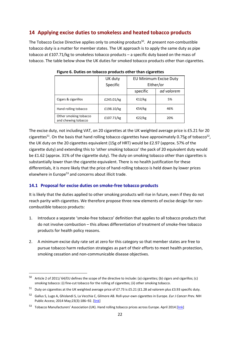# **14 Applying excise duties to smokeless and heated tobacco products**

The Tobacco Excise Directive applies only to *smoking* products<sup>50</sup>. At present non-combustible tobacco duty is a matter for member states. The UK approach is to apply the same duty as pipe tobacco at £107.71/kg to smokeless tobacco products – a specific duty based on the mass of tobacco. The table below show the UK duties for smoked tobacco products other than cigarettes.

|                                              | UK duty    | EU Minimum Excise Duty |            |
|----------------------------------------------|------------|------------------------|------------|
|                                              | Specific   | Either/or              |            |
|                                              |            | specific               | ad valorem |
| Cigars & cigarillos                          | £245.01/kg | €12/kg                 | 5%         |
| Hand rolling tobacco                         | £198.10/kg | €54/kg                 | 46%        |
| Other smoking tobacco<br>and chewing tobacco | £107.71/kg | €22/kg                 | 20%        |

**Figure 6. Duties on tobacco products other than cigarettes**

The excise duty, not including VAT, on 20 cigarettes at the UK weighted average price is £5.21 for 20 cigarettes<sup>51</sup>. On the basis that hand rolling tobacco cigarettes have approximately 0.75g of tobacco<sup>52</sup>, the UK duty on the 20 cigarettes equivalent (15g of HRT) would be £2.97 (approx. 57% of the cigarette duty) and extending this to 'other smoking tobacco' the pack of 20 equivalent duty would be £1.62 (approx. 31% of the cigarette duty). The duty on smoking tobacco other than cigarettes is substantially lower than the cigarette equivalent. There is no health justification for these differentials, it is more likely that the price of hand-rolling tobacco is held down by lower prices elsewhere in Europe<sup>53</sup> and concerns about illicit trade.

# **14.1 Proposal for excise duties on smoke-free tobacco products**

It is likely that the duties applied to other smoking products will rise in future, even if they do not reach parity with cigarettes. We therefore propose three new elements of excise design for noncombustible tobacco products:

- 1. Introduce a separate 'smoke-free tobacco' definition that applies to all tobacco products that do not involve combustion – this allows differentiation of treatment of smoke-free tobacco products for health policy reasons.
- 2. A *minimum* excise duty rate set at zero for this category so that member states are free to pursue tobacco harm reduction strategies as part of their efforts to meet health protection, smoking cessation and non-communicable disease objectives.

 $50$  Article 2 of 2011/64/EU defines the scope of the directive to include: (a) cigarettes; (b) cigars and cigarillos; (c) smoking tobacco: (i) fine-cut tobacco for the rolling of cigarettes; (ii) other smoking tobacco.

<sup>51</sup> Duty on cigarettes at the UK weighted average price of £7.73 is £5.21 (£1.28 ad valorem plus £3.93 specific duty.

<sup>52</sup> Gallus S, Lugo A, Ghislandi S, La Vecchia C, Gilmore AB. Roll-your-own cigarettes in Europe. *Eur J Cancer Pre*v. NIH Public Access; 2014 May; 23(3): 186-92. [\[link\]](https://www.ncbi.nlm.nih.gov/pmc/articles/PMC4127802/)

<sup>53</sup> Tobacco Manufacturers' Association (UK). Hand rolling tobacco prices across Europe. April 2014 [\[link\]](http://www.the-tma.org.uk/tma-publications-research/facts-figures/eu-handrolling-price-map/)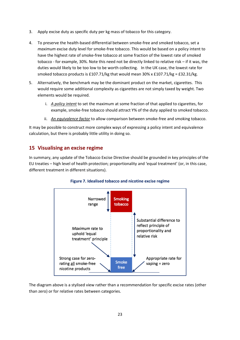- 3. Apply excise duty as specific duty per kg mass of tobacco for this category.
- 4. To preserve the health-based differential between smoke-free and smoked tobacco, set a *maximum* excise duty level for smoke-free tobacco. This would be based on a policy intent to have the highest rate of smoke-free tobacco at some fraction of the lowest rate of smoked tobacco - for example, 30%. Note this need not be directly linked to relative risk – if it was, the duties would likely to be too low to be worth collecting. In the UK case, the lowest rate for smoked tobacco products is £107.71/kg that would mean  $30\% \times £107.71/kg = £32.31/kg$ .
- 5. Alternatively, the benchmark may be the dominant product on the market, cigarettes. This would require some additional complexity as cigarettes are not simply taxed by weight. Two elements would be required.
	- i. *A policy intent* to set the maximum at some fraction of that applied to cigarettes, for example, smoke-free tobacco should attract Y% of the duty applied to smoked tobacco.
	- ii. *An equivalence factor* to allow comparison between smoke-free and smoking tobacco.

It may be possible to construct more complex ways of expressing a policy intent and equivalence calculation, but there is probably little utility in doing so.

# **15 Visualising an excise regime**

In summary, any update of the Tobacco Excise Directive should be grounded in key principles of the EU treaties – high level of health protection; proportionality and 'equal treatment' (or, in this case, different treatment in different situations).



### **Figure 7. Idealised tobacco and nicotine excise regime**

The diagram above is a stylised view rather than a recommendation for specific excise rates (other than zero) or for relative rates between categories.